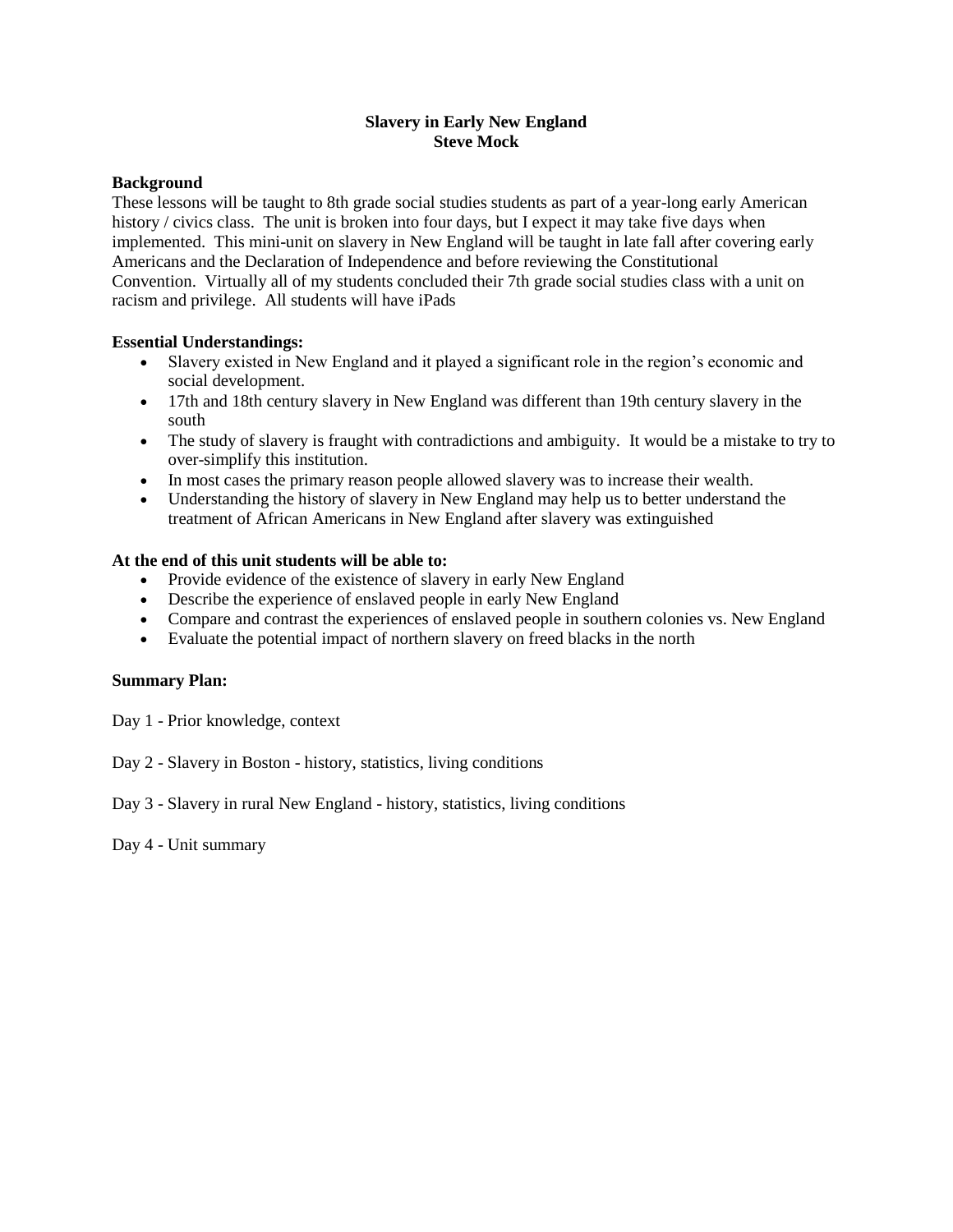#### **Slavery in Early New England Steve Mock**

#### **Background**

These lessons will be taught to 8th grade social studies students as part of a year-long early American history / civics class. The unit is broken into four days, but I expect it may take five days when implemented. This mini-unit on slavery in New England will be taught in late fall after covering early Americans and the Declaration of Independence and before reviewing the Constitutional Convention. Virtually all of my students concluded their 7th grade social studies class with a unit on racism and privilege. All students will have iPads

### **Essential Understandings:**

- Slavery existed in New England and it played a significant role in the region's economic and social development.
- 17th and 18th century slavery in New England was different than 19th century slavery in the south
- The study of slavery is fraught with contradictions and ambiguity. It would be a mistake to try to over-simplify this institution.
- In most cases the primary reason people allowed slavery was to increase their wealth.
- Understanding the history of slavery in New England may help us to better understand the treatment of African Americans in New England after slavery was extinguished

#### **At the end of this unit students will be able to:**

- Provide evidence of the existence of slavery in early New England
- Describe the experience of enslaved people in early New England
- Compare and contrast the experiences of enslaved people in southern colonies vs. New England
- Evaluate the potential impact of northern slavery on freed blacks in the north

#### **Summary Plan:**

Day 1 - Prior knowledge, context

Day 2 - Slavery in Boston - history, statistics, living conditions

Day 3 - Slavery in rural New England - history, statistics, living conditions

Day 4 - Unit summary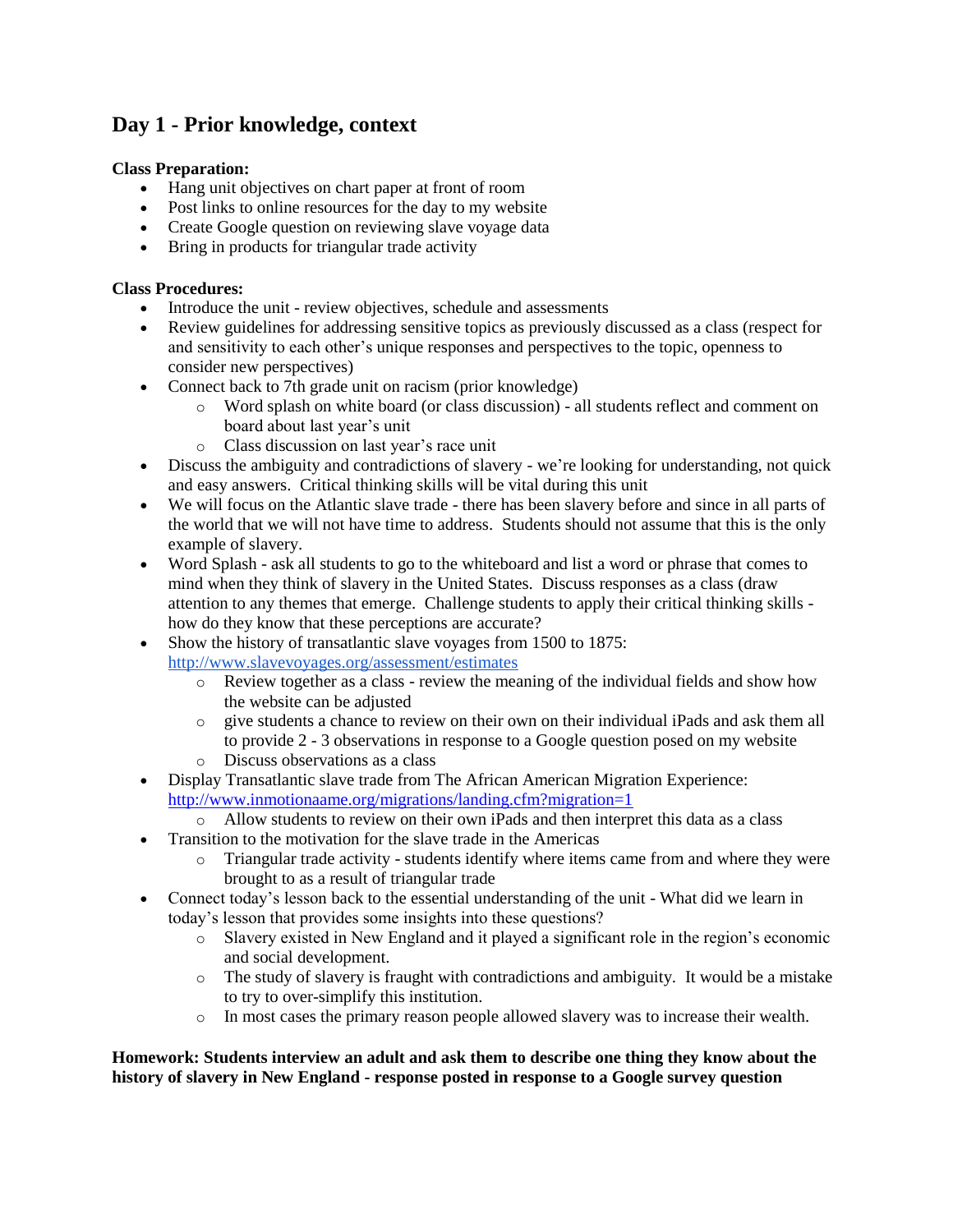# **Day 1 - Prior knowledge, context**

# **Class Preparation:**

- Hang unit objectives on chart paper at front of room
- Post links to online resources for the day to my website
- Create Google question on reviewing slave voyage data
- Bring in products for triangular trade activity

# **Class Procedures:**

- Introduce the unit review objectives, schedule and assessments
- Review guidelines for addressing sensitive topics as previously discussed as a class (respect for and sensitivity to each other's unique responses and perspectives to the topic, openness to consider new perspectives)
- Connect back to 7th grade unit on racism (prior knowledge)
	- o Word splash on white board (or class discussion) all students reflect and comment on board about last year's unit
	- o Class discussion on last year's race unit
- Discuss the ambiguity and contradictions of slavery we're looking for understanding, not quick and easy answers. Critical thinking skills will be vital during this unit
- We will focus on the Atlantic slave trade there has been slavery before and since in all parts of the world that we will not have time to address. Students should not assume that this is the only example of slavery.
- Word Splash ask all students to go to the whiteboard and list a word or phrase that comes to mind when they think of slavery in the United States. Discuss responses as a class (draw attention to any themes that emerge. Challenge students to apply their critical thinking skills how do they know that these perceptions are accurate?
- Show the history of transatlantic slave voyages from 1500 to 1875:
	- <http://www.slavevoyages.org/assessment/estimates>
		- $\circ$  Review together as a class review the meaning of the individual fields and show how the website can be adjusted
		- o give students a chance to review on their own on their individual iPads and ask them all to provide 2 - 3 observations in response to a Google question posed on my website
		- o Discuss observations as a class
- Display Transatlantic slave trade from The African American Migration Experience: <http://www.inmotionaame.org/migrations/landing.cfm?migration=1>
	- o Allow students to review on their own iPads and then interpret this data as a class
- Transition to the motivation for the slave trade in the Americas
	- o Triangular trade activity students identify where items came from and where they were brought to as a result of triangular trade
- Connect today's lesson back to the essential understanding of the unit What did we learn in today's lesson that provides some insights into these questions?
	- o Slavery existed in New England and it played a significant role in the region's economic and social development.
	- $\circ$  The study of slavery is fraught with contradictions and ambiguity. It would be a mistake to try to over-simplify this institution.
	- o In most cases the primary reason people allowed slavery was to increase their wealth.

#### **Homework: Students interview an adult and ask them to describe one thing they know about the history of slavery in New England - response posted in response to a Google survey question**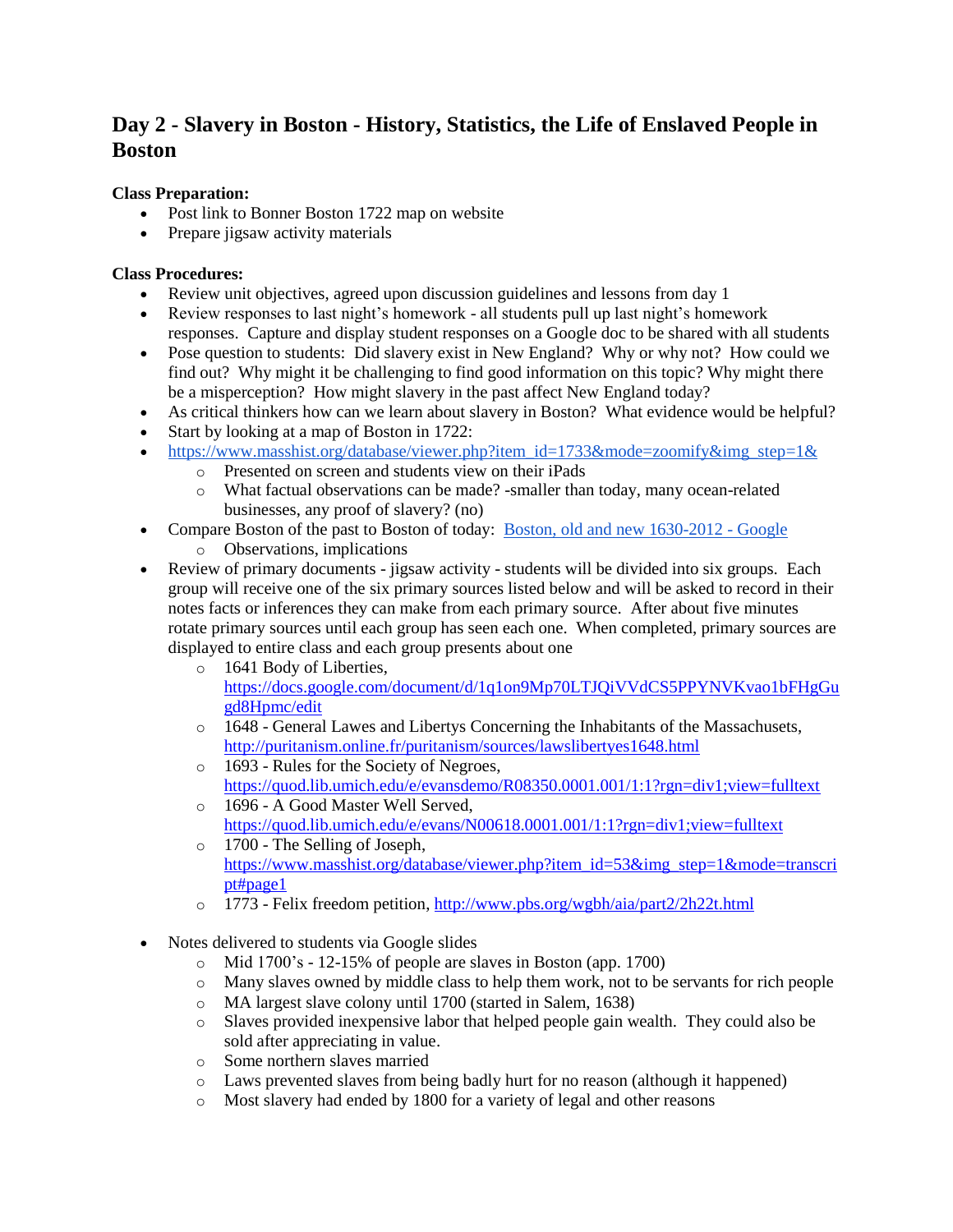# **Day 2 - Slavery in Boston - History, Statistics, the Life of Enslaved People in Boston**

# **Class Preparation:**

- Post link to Bonner Boston 1722 map on website
- Prepare jigsaw activity materials

# **Class Procedures:**

- Review unit objectives, agreed upon discussion guidelines and lessons from day 1
- Review responses to last night's homework all students pull up last night's homework responses. Capture and display student responses on a Google doc to be shared with all students
- Pose question to students: Did slavery exist in New England? Why or why not? How could we find out? Why might it be challenging to find good information on this topic? Why might there be a misperception? How might slavery in the past affect New England today?
- As critical thinkers how can we learn about slavery in Boston? What evidence would be helpful?
- Start by looking at a map of Boston in 1722:
- [https://www.masshist.org/database/viewer.php?item\\_id=1733&mode=zoomify&img\\_step=1&](https://www.masshist.org/database/viewer.php?item_id=1733&mode=zoomify&img_step=1&)
	- o Presented on screen and students view on their iPads
	- o What factual observations can be made? -smaller than today, many ocean-related businesses, any proof of slavery? (no)
- Compare Boston of the past to Boston of today: [Boston, old and new 1630-2012 -](https://www.google.com/mymaps/viewer?mid=1LgXMe5FqmBVwpv3fY-9C14A2f1Y&hl=en_US) Google
	- o Observations, implications
- Review of primary documents jigsaw activity students will be divided into six groups. Each group will receive one of the six primary sources listed below and will be asked to record in their notes facts or inferences they can make from each primary source. After about five minutes rotate primary sources until each group has seen each one. When completed, primary sources are displayed to entire class and each group presents about one
	- o 1641 Body of Liberties, [https://docs.google.com/document/d/1q1on9Mp70LTJQiVVdCS5PPYNVKvao1bFHgGu](https://docs.google.com/document/d/1q1on9Mp70LTJQiVVdCS5PPYNVKvao1bFHgGugd8Hpmc/edit) [gd8Hpmc/edit](https://docs.google.com/document/d/1q1on9Mp70LTJQiVVdCS5PPYNVKvao1bFHgGugd8Hpmc/edit)
	- o 1648 General Lawes and Libertys Concerning the Inhabitants of the Massachusets, <http://puritanism.online.fr/puritanism/sources/lawslibertyes1648.html>
	- o 1693 Rules for the Society of Negroes, <https://quod.lib.umich.edu/e/evansdemo/R08350.0001.001/1:1?rgn=div1;view=fulltext>
	- o 1696 A Good Master Well Served, <https://quod.lib.umich.edu/e/evans/N00618.0001.001/1:1?rgn=div1;view=fulltext> o 1700 - The Selling of Joseph,
	- [https://www.masshist.org/database/viewer.php?item\\_id=53&img\\_step=1&mode=transcri](https://www.masshist.org/database/viewer.php?item_id=53&img_step=1&mode=transcript#page1) [pt#page1](https://www.masshist.org/database/viewer.php?item_id=53&img_step=1&mode=transcript#page1)
	- o 1773 Felix freedom petition,<http://www.pbs.org/wgbh/aia/part2/2h22t.html>
- Notes delivered to students via Google slides
	- o Mid 1700's 12-15% of people are slaves in Boston (app. 1700)
	- o Many slaves owned by middle class to help them work, not to be servants for rich people
	- o MA largest slave colony until 1700 (started in Salem, 1638)
	- o Slaves provided inexpensive labor that helped people gain wealth. They could also be sold after appreciating in value.
	- o Some northern slaves married
	- o Laws prevented slaves from being badly hurt for no reason (although it happened)
	- o Most slavery had ended by 1800 for a variety of legal and other reasons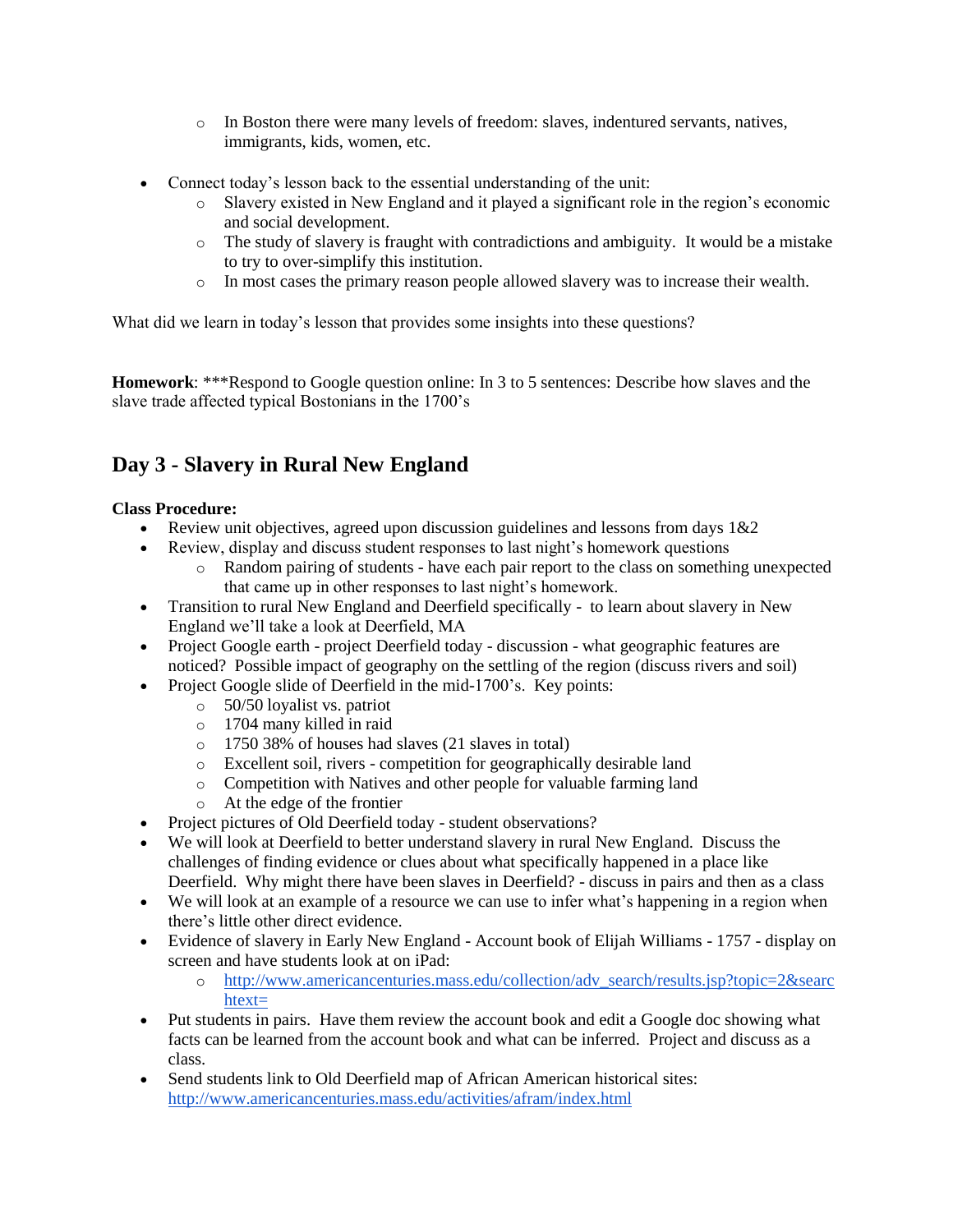- o In Boston there were many levels of freedom: slaves, indentured servants, natives, immigrants, kids, women, etc.
- Connect today's lesson back to the essential understanding of the unit:
	- o Slavery existed in New England and it played a significant role in the region's economic and social development.
	- o The study of slavery is fraught with contradictions and ambiguity. It would be a mistake to try to over-simplify this institution.
	- o In most cases the primary reason people allowed slavery was to increase their wealth.

What did we learn in today's lesson that provides some insights into these questions?

**Homework**: \*\*\*Respond to Google question online: In 3 to 5 sentences: Describe how slaves and the slave trade affected typical Bostonians in the 1700's

# **Day 3 - Slavery in Rural New England**

# **Class Procedure:**

- Eview unit objectives, agreed upon discussion guidelines and lessons from days  $1&2$
- Review, display and discuss student responses to last night's homework questions
	- o Random pairing of students have each pair report to the class on something unexpected that came up in other responses to last night's homework.
- Transition to rural New England and Deerfield specifically to learn about slavery in New England we'll take a look at Deerfield, MA
- Project Google earth project Deerfield today discussion what geographic features are noticed? Possible impact of geography on the settling of the region (discuss rivers and soil)
- Project Google slide of Deerfield in the mid-1700's. Key points:
	- o 50/50 loyalist vs. patriot
	- o 1704 many killed in raid
	- o 1750 38% of houses had slaves (21 slaves in total)
	- o Excellent soil, rivers competition for geographically desirable land
	- o Competition with Natives and other people for valuable farming land
	- o At the edge of the frontier
- Project pictures of Old Deerfield today student observations?
- We will look at Deerfield to better understand slavery in rural New England. Discuss the challenges of finding evidence or clues about what specifically happened in a place like Deerfield. Why might there have been slaves in Deerfield? - discuss in pairs and then as a class
- We will look at an example of a resource we can use to infer what's happening in a region when there's little other direct evidence.
- Evidence of slavery in Early New England Account book of Elijah Williams 1757 display on screen and have students look at on iPad:
	- o [http://www.americancenturies.mass.edu/collection/adv\\_search/results.jsp?topic=2&searc](http://www.americancenturies.mass.edu/collection/adv_search/results.jsp?topic=2&searchtext=) [htext=](http://www.americancenturies.mass.edu/collection/adv_search/results.jsp?topic=2&searchtext=)
- Put students in pairs. Have them review the account book and edit a Google doc showing what facts can be learned from the account book and what can be inferred. Project and discuss as a class.
- Send students link to Old Deerfield map of African American historical sites: <http://www.americancenturies.mass.edu/activities/afram/index.html>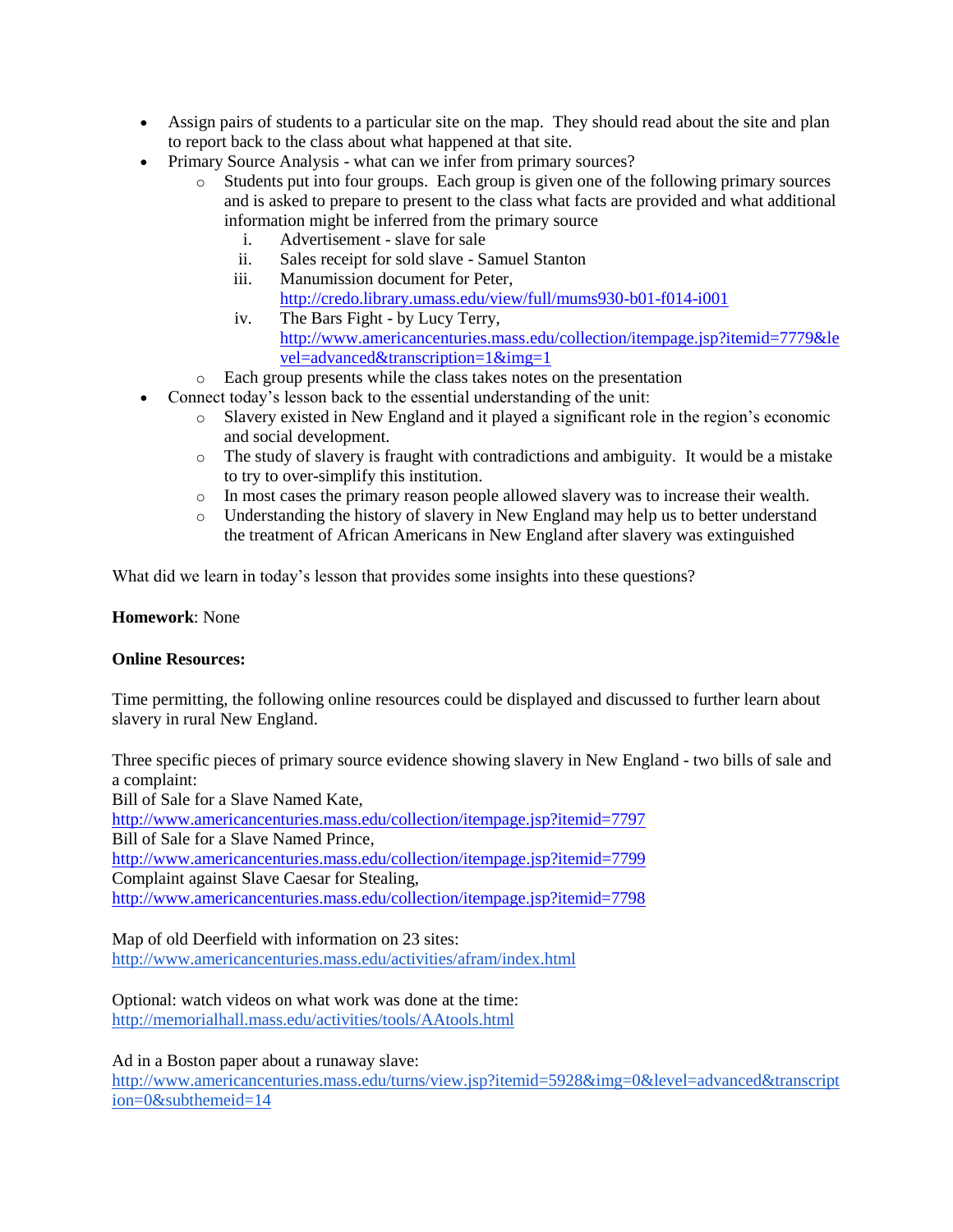- Assign pairs of students to a particular site on the map. They should read about the site and plan to report back to the class about what happened at that site.
- Primary Source Analysis what can we infer from primary sources?
	- o Students put into four groups. Each group is given one of the following primary sources and is asked to prepare to present to the class what facts are provided and what additional information might be inferred from the primary source
		- i. Advertisement slave for sale
		- ii. Sales receipt for sold slave Samuel Stanton
		- iii. Manumission document for Peter, <http://credo.library.umass.edu/view/full/mums930-b01-f014-i001>
		- iv. The Bars Fight by Lucy Terry, [http://www.americancenturies.mass.edu/collection/itempage.jsp?itemid=7779&le](http://www.americancenturies.mass.edu/collection/itempage.jsp?itemid=7779&level=advanced&transcription=1&img=1) [vel=advanced&transcription=1&img=1](http://www.americancenturies.mass.edu/collection/itempage.jsp?itemid=7779&level=advanced&transcription=1&img=1)
	- o Each group presents while the class takes notes on the presentation
- Connect today's lesson back to the essential understanding of the unit:
	- o Slavery existed in New England and it played a significant role in the region's economic and social development.
	- o The study of slavery is fraught with contradictions and ambiguity. It would be a mistake to try to over-simplify this institution.
	- o In most cases the primary reason people allowed slavery was to increase their wealth.
	- o Understanding the history of slavery in New England may help us to better understand the treatment of African Americans in New England after slavery was extinguished

What did we learn in today's lesson that provides some insights into these questions?

# **Homework**: None

# **Online Resources:**

Time permitting, the following online resources could be displayed and discussed to further learn about slavery in rural New England.

Three specific pieces of primary source evidence showing slavery in New England - two bills of sale and a complaint:

Bill of Sale for a Slave Named Kate,

<http://www.americancenturies.mass.edu/collection/itempage.jsp?itemid=7797>

Bill of Sale for a Slave Named Prince,

<http://www.americancenturies.mass.edu/collection/itempage.jsp?itemid=7799>

Complaint against Slave Caesar for Stealing,

<http://www.americancenturies.mass.edu/collection/itempage.jsp?itemid=7798>

Map of old Deerfield with information on 23 sites: <http://www.americancenturies.mass.edu/activities/afram/index.html>

Optional: watch videos on what work was done at the time: <http://memorialhall.mass.edu/activities/tools/AAtools.html>

Ad in a Boston paper about a runaway slave:

[http://www.americancenturies.mass.edu/turns/view.jsp?itemid=5928&img=0&level=advanced&transcript](http://www.americancenturies.mass.edu/turns/view.jsp?itemid=5928&img=0&level=advanced&transcription=0&subthemeid=14) [ion=0&subthemeid=14](http://www.americancenturies.mass.edu/turns/view.jsp?itemid=5928&img=0&level=advanced&transcription=0&subthemeid=14)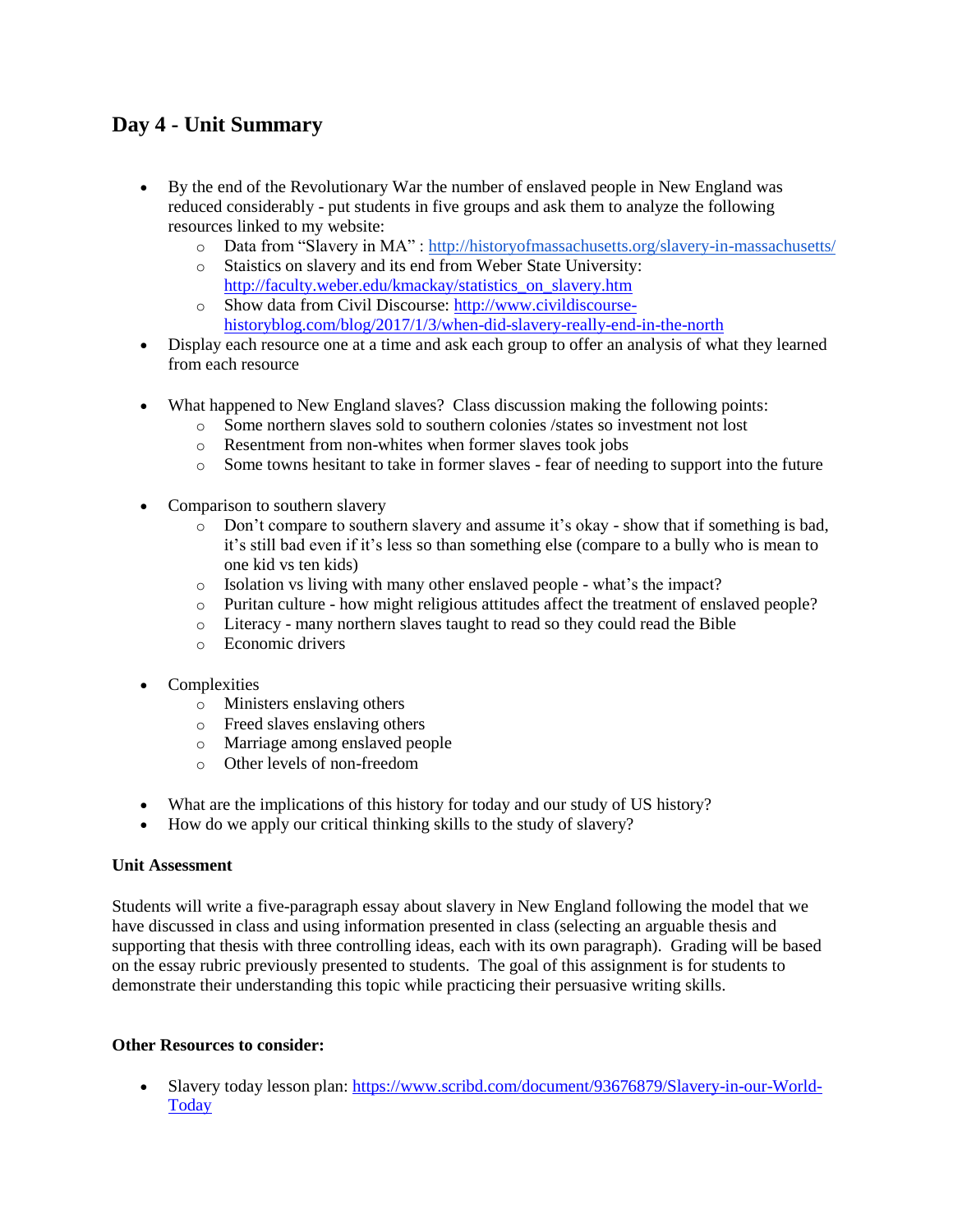# **Day 4 - Unit Summary**

- By the end of the Revolutionary War the number of enslaved people in New England was reduced considerably - put students in five groups and ask them to analyze the following resources linked to my website:
	- o Data from "Slavery in MA" :<http://historyofmassachusetts.org/slavery-in-massachusetts/>
	- o Staistics on slavery and its end from Weber State University: [http://faculty.weber.edu/kmackay/statistics\\_on\\_slavery.htm](http://faculty.weber.edu/kmackay/statistics_on_slavery.htm)
	- o Show data from Civil Discourse: [http://www.civildiscourse](http://www.civildiscourse-historyblog.com/blog/2017/1/3/when-did-slavery-really-end-in-the-north)[historyblog.com/blog/2017/1/3/when-did-slavery-really-end-in-the-north](http://www.civildiscourse-historyblog.com/blog/2017/1/3/when-did-slavery-really-end-in-the-north)
- Display each resource one at a time and ask each group to offer an analysis of what they learned from each resource
- What happened to New England slaves? Class discussion making the following points:
	- o Some northern slaves sold to southern colonies /states so investment not lost
	- o Resentment from non-whites when former slaves took jobs
	- o Some towns hesitant to take in former slaves fear of needing to support into the future
- Comparison to southern slavery
	- $\circ$  Don't compare to southern slavery and assume it's okay show that if something is bad, it's still bad even if it's less so than something else (compare to a bully who is mean to one kid vs ten kids)
	- o Isolation vs living with many other enslaved people what's the impact?
	- o Puritan culture how might religious attitudes affect the treatment of enslaved people?
	- o Literacy many northern slaves taught to read so they could read the Bible
	- o Economic drivers
- Complexities
	- o Ministers enslaving others
	- o Freed slaves enslaving others
	- o Marriage among enslaved people
	- o Other levels of non-freedom
- What are the implications of this history for today and our study of US history?
- How do we apply our critical thinking skills to the study of slavery?

#### **Unit Assessment**

Students will write a five-paragraph essay about slavery in New England following the model that we have discussed in class and using information presented in class (selecting an arguable thesis and supporting that thesis with three controlling ideas, each with its own paragraph). Grading will be based on the essay rubric previously presented to students. The goal of this assignment is for students to demonstrate their understanding this topic while practicing their persuasive writing skills.

#### **Other Resources to consider:**

• Slavery today lesson plan: [https://www.scribd.com/document/93676879/Slavery-in-our-World-](https://www.scribd.com/document/93676879/Slavery-in-our-World-Today)**[Today](https://www.scribd.com/document/93676879/Slavery-in-our-World-Today)**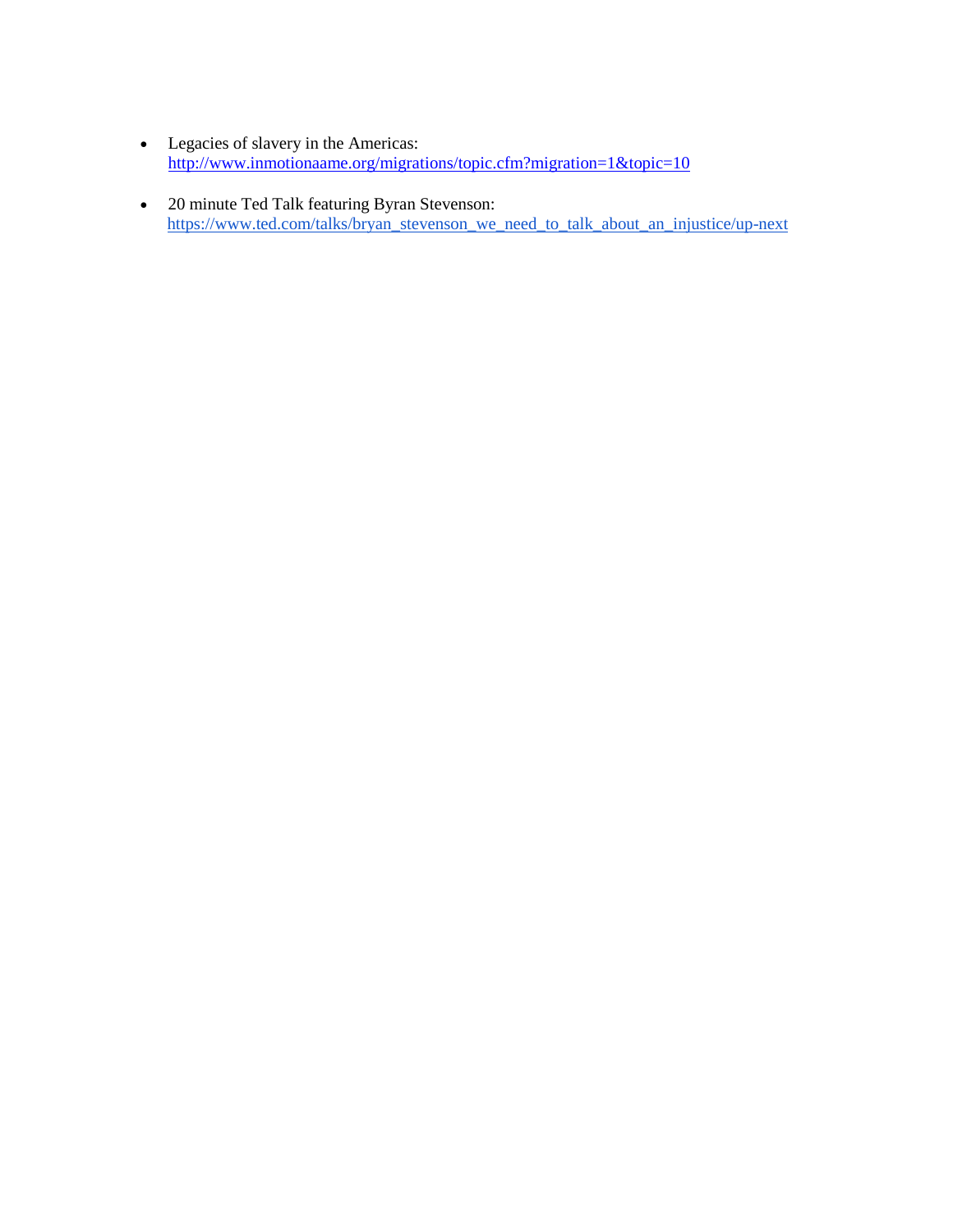- Legacies of slavery in the Americas: <http://www.inmotionaame.org/migrations/topic.cfm?migration=1&topic=10>
- 20 minute Ted Talk featuring Byran Stevenson: [https://www.ted.com/talks/bryan\\_stevenson\\_we\\_need\\_to\\_talk\\_about\\_an\\_injustice/up-next](https://www.ted.com/talks/bryan_stevenson_we_need_to_talk_about_an_injustice/up-next)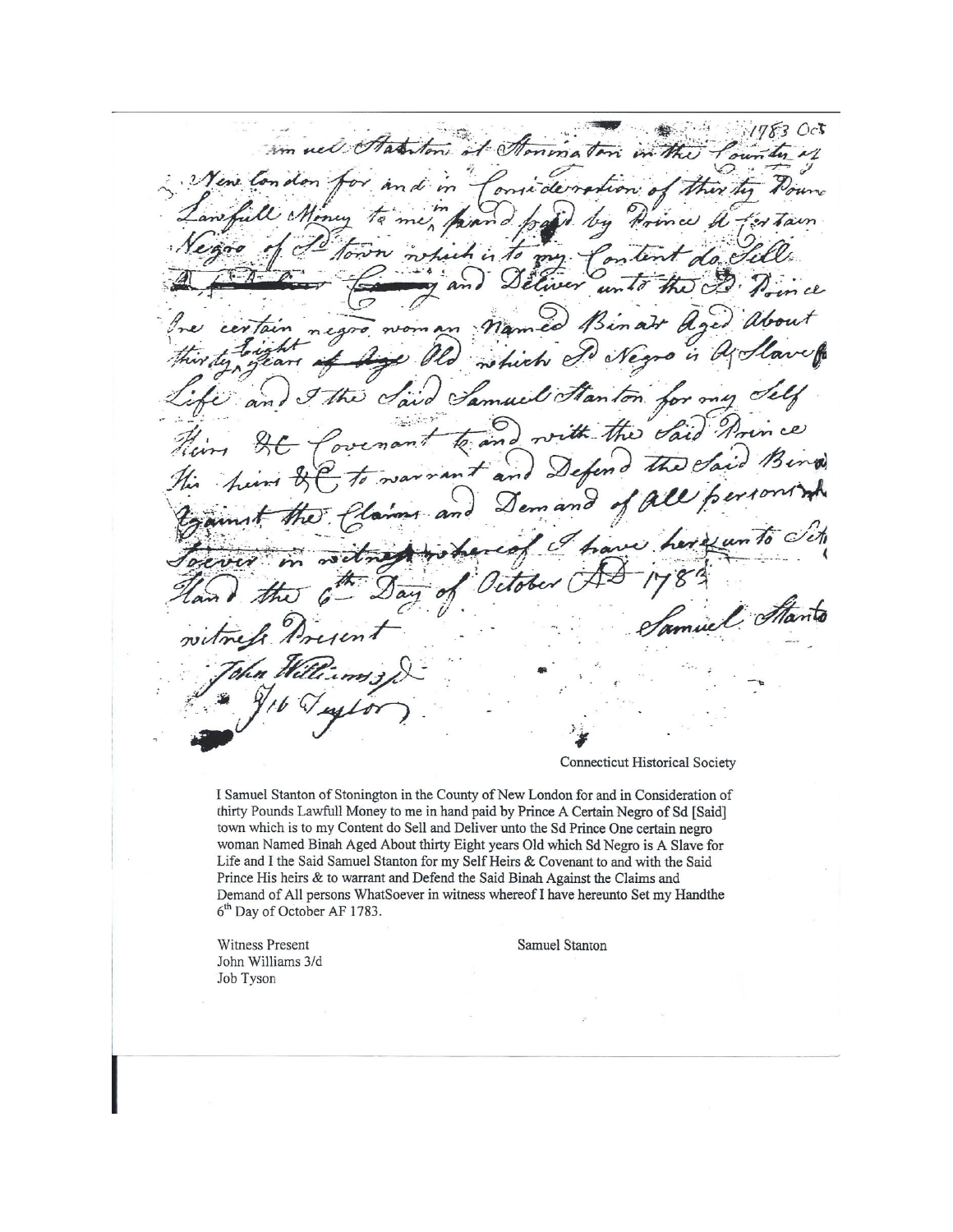$17830c$ im well Statiston it I ninal  $\mathcal{Z}$ ·M oma dervasio  $n: d$ M .<br>4  $\overline{A}$ n cl certain rich e Ui Stanton G rue  $\mathcal{C}$ ai an Voi nd Defer n and  $\mathscr{D}_{\bm{e}}$  $c^{\mathcal{G}}$  $\sim 10$ muel That

Connecticut Historical Society

I Samuel Stanton of Stonington in the County of New London for and in Consideration of thirty Pounds Lawfull Money to me in hand paid by Prince A Certain Negro of Sd [Said] town which is to my Content do Sell and Deliver unto the Sd Prince One certain negro woman Named Binah Aged About thirty Eight years Old which Sd Negro is A Slave for Life and I the Said Samuel Stanton for my Self Heirs & Covenant to and with the Said Prince His heirs & to warrant and Defend the Said Binah Against the Claims and Demand of All persons WhatSoever in witness whereof I have hereunto Set my Handthe 6<sup>th</sup> Day of October AF 1783.

Witness Present John Williams 3/d Job Tyson

Samuel Stanton